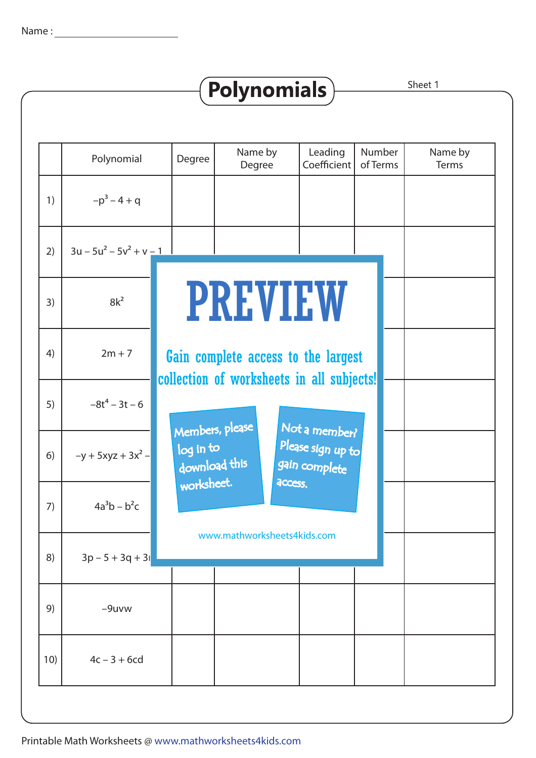|     | Polynomial                 | Degree                                                                           | Name by<br>Degree | Leading<br>Coefficient             | Number<br>of Terms | Name by<br>Terms |  |  |  |  |
|-----|----------------------------|----------------------------------------------------------------------------------|-------------------|------------------------------------|--------------------|------------------|--|--|--|--|
| 1)  | $-p^3 - 4 + q$             |                                                                                  |                   |                                    |                    |                  |  |  |  |  |
| 2)  | $3u - 5u^2 - 5v^2 + v - 1$ |                                                                                  |                   |                                    |                    |                  |  |  |  |  |
| 3)  | $8k^2$                     |                                                                                  |                   | <b>PREVIEW</b>                     |                    |                  |  |  |  |  |
| 4)  | $2m + 7$                   | Gain complete access to the largest<br>collection of worksheets in all subjects! |                   |                                    |                    |                  |  |  |  |  |
| 5)  | $-8t^4 - 3t - 6$           | Members, please                                                                  |                   | Not a member?                      |                    |                  |  |  |  |  |
| 6)  | $-y + 5xyz + 3x^{2} -$     | log in to<br>download this                                                       |                   | Please sign up to<br>gain complete |                    |                  |  |  |  |  |
| 7)  | $4a^3b - b^2c$             | worksheet.                                                                       |                   | access.                            |                    |                  |  |  |  |  |
| 8)  | $3p - 5 + 3q + 31$         |                                                                                  |                   | www.mathworksheets4kids.com        |                    |                  |  |  |  |  |
| 9)  | $-9$ uvw                   |                                                                                  |                   |                                    |                    |                  |  |  |  |  |
| 10) | $4c - 3 + 6cd$             |                                                                                  |                   |                                    |                    |                  |  |  |  |  |